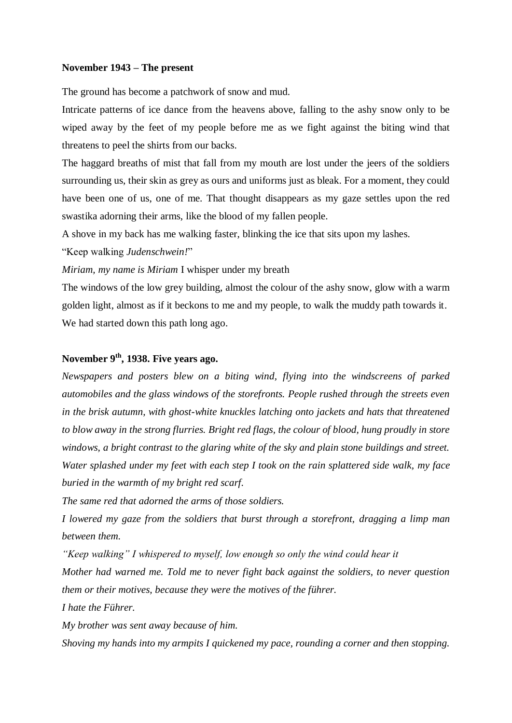#### **November 1943 – The present**

The ground has become a patchwork of snow and mud.

Intricate patterns of ice dance from the heavens above, falling to the ashy snow only to be wiped away by the feet of my people before me as we fight against the biting wind that threatens to peel the shirts from our backs.

The haggard breaths of mist that fall from my mouth are lost under the jeers of the soldiers surrounding us, their skin as grey as ours and uniforms just as bleak. For a moment, they could have been one of us, one of me. That thought disappears as my gaze settles upon the red swastika adorning their arms, like the blood of my fallen people.

A shove in my back has me walking faster, blinking the ice that sits upon my lashes.

"Keep walking *Judenschwein!*"

*Miriam, my name is Miriam* I whisper under my breath

The windows of the low grey building, almost the colour of the ashy snow, glow with a warm golden light, almost as if it beckons to me and my people, to walk the muddy path towards it. We had started down this path long ago.

### **November 9 th, 1938. Five years ago.**

*Newspapers and posters blew on a biting wind, flying into the windscreens of parked automobiles and the glass windows of the storefronts. People rushed through the streets even in the brisk autumn, with ghost-white knuckles latching onto jackets and hats that threatened to blow away in the strong flurries. Bright red flags, the colour of blood, hung proudly in store windows, a bright contrast to the glaring white of the sky and plain stone buildings and street. Water splashed under my feet with each step I took on the rain splattered side walk, my face buried in the warmth of my bright red scarf.* 

*The same red that adorned the arms of those soldiers.* 

*I lowered my gaze from the soldiers that burst through a storefront, dragging a limp man between them.* 

*"Keep walking" I whispered to myself, low enough so only the wind could hear it*

*Mother had warned me. Told me to never fight back against the soldiers, to never question them or their motives, because they were the motives of the führer.* 

*I hate the Führer.*

*My brother was sent away because of him.*

*Shoving my hands into my armpits I quickened my pace, rounding a corner and then stopping.*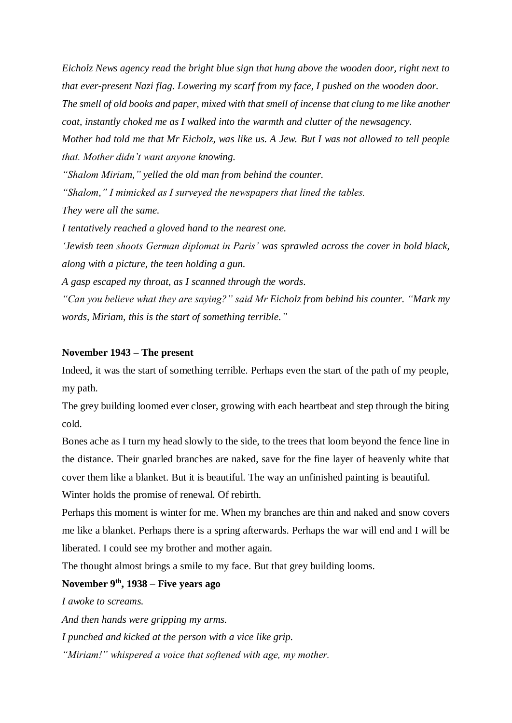*Eicholz News agency read the bright blue sign that hung above the wooden door, right next to that ever-present Nazi flag. Lowering my scarf from my face, I pushed on the wooden door. The smell of old books and paper, mixed with that smell of incense that clung to me like another coat, instantly choked me as I walked into the warmth and clutter of the newsagency. Mother had told me that Mr Eicholz, was like us. A Jew. But I was not allowed to tell people that. Mother didn't want anyone knowing.*

*"Shalom Miriam," yelled the old man from behind the counter.*

*"Shalom," I mimicked as I surveyed the newspapers that lined the tables.*

*They were all the same.* 

*I tentatively reached a gloved hand to the nearest one.*

*'Jewish teen shoots German diplomat in Paris' was sprawled across the cover in bold black, along with a picture, the teen holding a gun.*

*A gasp escaped my throat, as I scanned through the words.* 

*"Can you believe what they are saying?" said Mr Eicholz from behind his counter. "Mark my words, Miriam, this is the start of something terrible."*

### **November 1943 – The present**

Indeed, it was the start of something terrible. Perhaps even the start of the path of my people, my path.

The grey building loomed ever closer, growing with each heartbeat and step through the biting cold.

Bones ache as I turn my head slowly to the side, to the trees that loom beyond the fence line in the distance. Their gnarled branches are naked, save for the fine layer of heavenly white that cover them like a blanket. But it is beautiful. The way an unfinished painting is beautiful.

Winter holds the promise of renewal. Of rebirth.

Perhaps this moment is winter for me. When my branches are thin and naked and snow covers me like a blanket. Perhaps there is a spring afterwards. Perhaps the war will end and I will be liberated. I could see my brother and mother again.

The thought almost brings a smile to my face. But that grey building looms.

# **November 9 th , 1938 – Five years ago**

*I awoke to screams.* 

*And then hands were gripping my arms.*

*I punched and kicked at the person with a vice like grip.*

*"Miriam!" whispered a voice that softened with age, my mother.*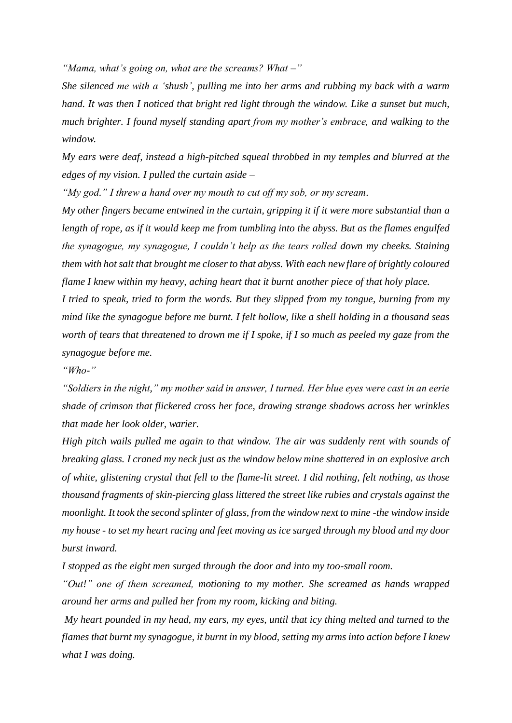*"Mama, what's going on, what are the screams? What –"*

*She silenced me with a 'shush', pulling me into her arms and rubbing my back with a warm hand. It was then I noticed that bright red light through the window. Like a sunset but much, much brighter. I found myself standing apart from my mother's embrace, and walking to the window.* 

*My ears were deaf, instead a high-pitched squeal throbbed in my temples and blurred at the edges of my vision. I pulled the curtain aside –*

*"My god." I threw a hand over my mouth to cut off my sob, or my scream.*

*My other fingers became entwined in the curtain, gripping it if it were more substantial than a length of rope, as if it would keep me from tumbling into the abyss. But as the flames engulfed the synagogue, my synagogue, I couldn't help as the tears rolled down my cheeks. Staining them with hot salt that brought me closer to that abyss. With each new flare of brightly coloured flame I knew within my heavy, aching heart that it burnt another piece of that holy place.* 

*I tried to speak, tried to form the words. But they slipped from my tongue, burning from my mind like the synagogue before me burnt. I felt hollow, like a shell holding in a thousand seas worth of tears that threatened to drown me if I spoke, if I so much as peeled my gaze from the synagogue before me.* 

*"Who-"*

*"Soldiers in the night," my mother said in answer, I turned. Her blue eyes were cast in an eerie shade of crimson that flickered cross her face, drawing strange shadows across her wrinkles that made her look older, warier.*

*High pitch wails pulled me again to that window. The air was suddenly rent with sounds of breaking glass. I craned my neck just as the window below mine shattered in an explosive arch of white, glistening crystal that fell to the flame-lit street. I did nothing, felt nothing, as those thousand fragments of skin-piercing glass littered the street like rubies and crystals against the moonlight. It took the second splinter of glass, from the window next to mine -the window inside my house - to set my heart racing and feet moving as ice surged through my blood and my door burst inward.*

*I stopped as the eight men surged through the door and into my too-small room.* 

*"Out!" one of them screamed, motioning to my mother. She screamed as hands wrapped around her arms and pulled her from my room, kicking and biting.* 

*My heart pounded in my head, my ears, my eyes, until that icy thing melted and turned to the flames that burnt my synagogue, it burnt in my blood, setting my arms into action before I knew what I was doing.*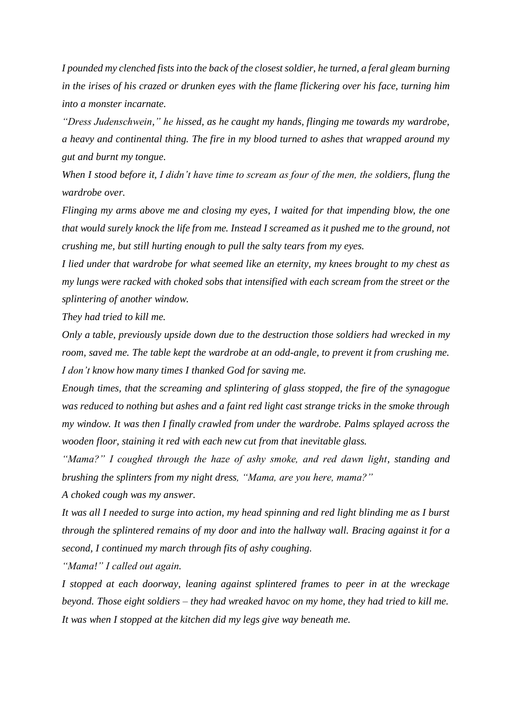*I pounded my clenched fists into the back of the closest soldier, he turned, a feral gleam burning in the irises of his crazed or drunken eyes with the flame flickering over his face, turning him into a monster incarnate.*

*"Dress Judenschwein," he hissed, as he caught my hands, flinging me towards my wardrobe, a heavy and continental thing. The fire in my blood turned to ashes that wrapped around my gut and burnt my tongue.*

*When I stood before it, I didn't have time to scream as four of the men, the soldiers, flung the wardrobe over.* 

*Flinging my arms above me and closing my eyes, I waited for that impending blow, the one that would surely knock the life from me. Instead I screamed as it pushed me to the ground, not crushing me, but still hurting enough to pull the salty tears from my eyes.* 

*I lied under that wardrobe for what seemed like an eternity, my knees brought to my chest as my lungs were racked with choked sobs that intensified with each scream from the street or the splintering of another window.* 

*They had tried to kill me.*

*Only a table, previously upside down due to the destruction those soldiers had wrecked in my room, saved me. The table kept the wardrobe at an odd-angle, to prevent it from crushing me. I don't know how many times I thanked God for saving me.* 

*Enough times, that the screaming and splintering of glass stopped, the fire of the synagogue was reduced to nothing but ashes and a faint red light cast strange tricks in the smoke through my window. It was then I finally crawled from under the wardrobe. Palms splayed across the wooden floor, staining it red with each new cut from that inevitable glass.*

*"Mama?" I coughed through the haze of ashy smoke, and red dawn light, standing and brushing the splinters from my night dress, "Mama, are you here, mama?"* 

*A choked cough was my answer.* 

*It was all I needed to surge into action, my head spinning and red light blinding me as I burst through the splintered remains of my door and into the hallway wall. Bracing against it for a second, I continued my march through fits of ashy coughing.* 

*"Mama!" I called out again.*

*I stopped at each doorway, leaning against splintered frames to peer in at the wreckage beyond. Those eight soldiers – they had wreaked havoc on my home, they had tried to kill me. It was when I stopped at the kitchen did my legs give way beneath me.*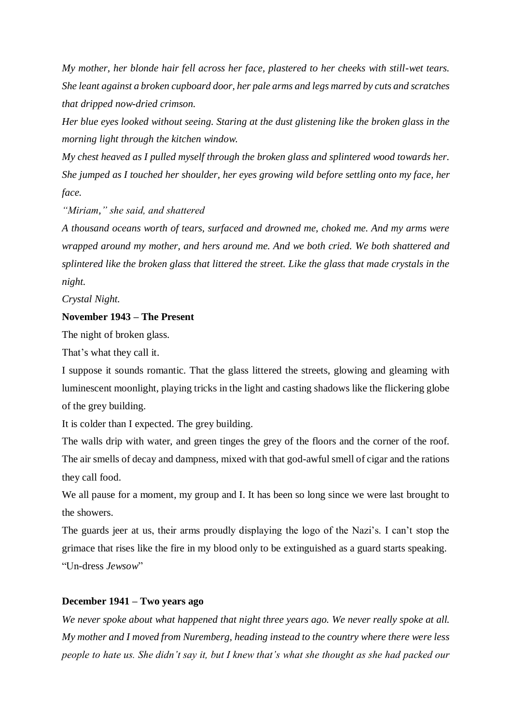*My mother, her blonde hair fell across her face, plastered to her cheeks with still-wet tears. She leant against a broken cupboard door, her pale arms and legs marred by cuts and scratches that dripped now-dried crimson.* 

*Her blue eyes looked without seeing. Staring at the dust glistening like the broken glass in the morning light through the kitchen window.*

*My chest heaved as I pulled myself through the broken glass and splintered wood towards her. She jumped as I touched her shoulder, her eyes growing wild before settling onto my face, her face.* 

*"Miriam," she said, and shattered*

*A thousand oceans worth of tears, surfaced and drowned me, choked me. And my arms were wrapped around my mother, and hers around me. And we both cried. We both shattered and splintered like the broken glass that littered the street. Like the glass that made crystals in the night.*

*Crystal Night.* 

### **November 1943 – The Present**

The night of broken glass.

That's what they call it.

I suppose it sounds romantic. That the glass littered the streets, glowing and gleaming with luminescent moonlight, playing tricks in the light and casting shadows like the flickering globe of the grey building.

It is colder than I expected. The grey building.

The walls drip with water, and green tinges the grey of the floors and the corner of the roof. The air smells of decay and dampness, mixed with that god-awful smell of cigar and the rations they call food.

We all pause for a moment, my group and I. It has been so long since we were last brought to the showers.

The guards jeer at us, their arms proudly displaying the logo of the Nazi's. I can't stop the grimace that rises like the fire in my blood only to be extinguished as a guard starts speaking. "Un-dress *Jewsow*"

#### **December 1941 – Two years ago**

*We never spoke about what happened that night three years ago. We never really spoke at all. My mother and I moved from Nuremberg, heading instead to the country where there were less people to hate us. She didn't say it, but I knew that's what she thought as she had packed our*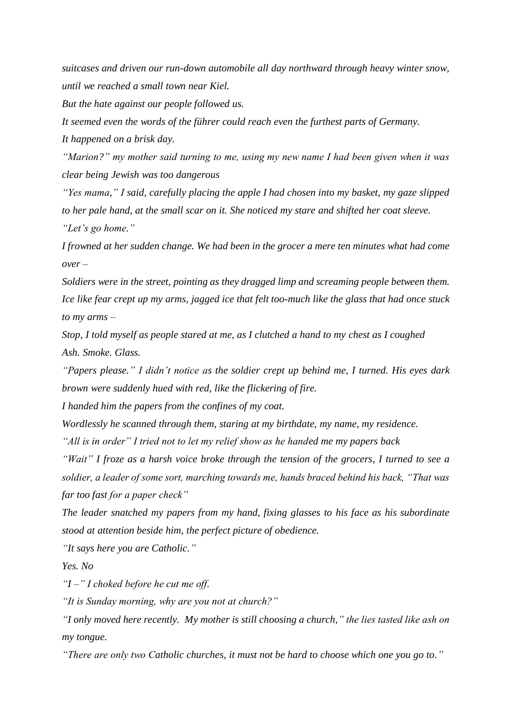*suitcases and driven our run-down automobile all day northward through heavy winter snow, until we reached a small town near Kiel.*

*But the hate against our people followed us.* 

*It seemed even the words of the führer could reach even the furthest parts of Germany.* 

*It happened on a brisk day.*

*"Marion?" my mother said turning to me, using my new name I had been given when it was clear being Jewish was too dangerous*

*"Yes mama," I said, carefully placing the apple I had chosen into my basket, my gaze slipped to her pale hand, at the small scar on it. She noticed my stare and shifted her coat sleeve. "Let's go home."* 

*I frowned at her sudden change. We had been in the grocer a mere ten minutes what had come over –*

*Soldiers were in the street, pointing as they dragged limp and screaming people between them. Ice like fear crept up my arms, jagged ice that felt too-much like the glass that had once stuck to my arms –*

*Stop, I told myself as people stared at me, as I clutched a hand to my chest as I coughed Ash. Smoke. Glass.*

*"Papers please." I didn't notice as the soldier crept up behind me, I turned. His eyes dark brown were suddenly hued with red, like the flickering of fire.* 

*I handed him the papers from the confines of my coat.*

*Wordlessly he scanned through them, staring at my birthdate, my name, my residence.* 

*"All is in order" I tried not to let my relief show as he handed me my papers back*

*"Wait" I froze as a harsh voice broke through the tension of the grocers, I turned to see a soldier, a leader of some sort, marching towards me, hands braced behind his back, "That was far too fast for a paper check"* 

*The leader snatched my papers from my hand, fixing glasses to his face as his subordinate stood at attention beside him, the perfect picture of obedience.* 

*"It says here you are Catholic."* 

*Yes. No* 

*"I –" I choked before he cut me off.*

*"It is Sunday morning, why are you not at church?"* 

*"I only moved here recently. My mother is still choosing a church," the lies tasted like ash on my tongue.*

*"There are only two Catholic churches, it must not be hard to choose which one you go to."*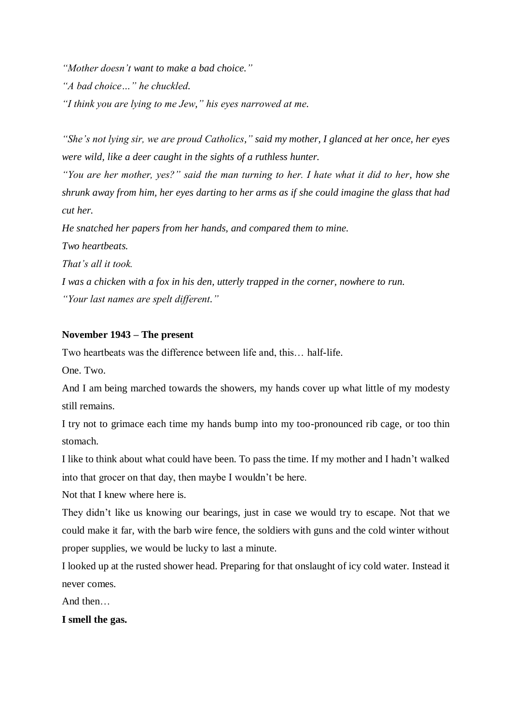*"Mother doesn't want to make a bad choice." "A bad choice…" he chuckled. "I think you are lying to me Jew," his eyes narrowed at me.*

*"She's not lying sir, we are proud Catholics," said my mother, I glanced at her once, her eyes were wild, like a deer caught in the sights of a ruthless hunter.*

*"You are her mother, yes?" said the man turning to her. I hate what it did to her, how she shrunk away from him, her eyes darting to her arms as if she could imagine the glass that had cut her.*

*He snatched her papers from her hands, and compared them to mine.* 

*Two heartbeats.* 

*That's all it took.*

*I was a chicken with a fox in his den, utterly trapped in the corner, nowhere to run. "Your last names are spelt different."*

## **November 1943 – The present**

Two heartbeats was the difference between life and, this… half-life.

One. Two.

And I am being marched towards the showers, my hands cover up what little of my modesty still remains.

I try not to grimace each time my hands bump into my too-pronounced rib cage, or too thin stomach.

I like to think about what could have been. To pass the time. If my mother and I hadn't walked into that grocer on that day, then maybe I wouldn't be here.

Not that I knew where here is.

They didn't like us knowing our bearings, just in case we would try to escape. Not that we could make it far, with the barb wire fence, the soldiers with guns and the cold winter without proper supplies, we would be lucky to last a minute.

I looked up at the rusted shower head. Preparing for that onslaught of icy cold water. Instead it never comes.

And then…

**I smell the gas.**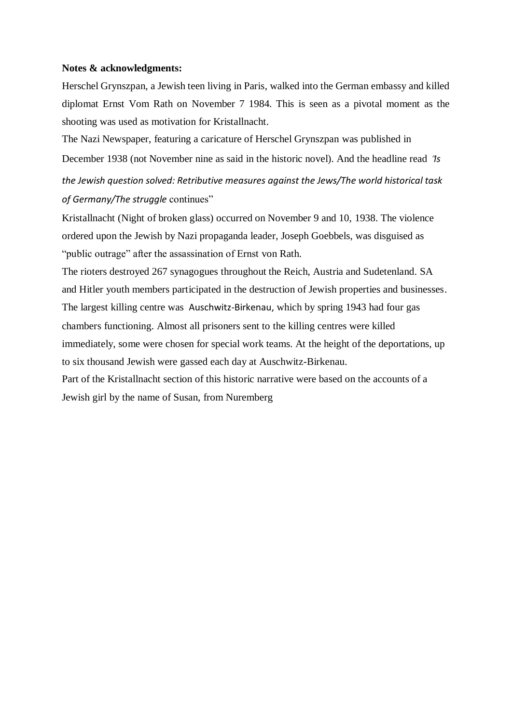#### **Notes & acknowledgments:**

Herschel Grynszpan, a Jewish teen living in Paris, walked into the German embassy and killed diplomat Ernst Vom Rath on November 7 1984. This is seen as a pivotal moment as the shooting was used as motivation for Kristallnacht.

The Nazi Newspaper, featuring a caricature of Herschel Grynszpan was published in December 1938 (not November nine as said in the historic novel). And the headline read "*Is the Jewish question solved: Retributive measures against the Jews/The world historical task* 

*of Germany/The struggle* continues"

Kristallnacht (Night of broken glass) occurred on November 9 and 10, 1938. The violence ordered upon the Jewish by Nazi propaganda leader, Joseph Goebbels, was disguised as "public outrage" after the assassination of Ernst von Rath.

The rioters destroyed 267 synagogues throughout the Reich, Austria and Sudetenland. SA and Hitler youth members participated in the destruction of Jewish properties and businesses. The largest killing centre was [Auschwitz-Birkenau,](https://www.ushmm.org/wlc/en/article.php?ModuleId=10005189) which by spring 1943 had four gas chambers functioning. Almost all prisoners sent to the killing centres were killed immediately, some were chosen for special work teams. At the height of the deportations, up to six thousand Jewish were gassed each day at Auschwitz-Birkenau.

Part of the Kristallnacht section of this historic narrative were based on the accounts of a Jewish girl by the name of Susan, from Nuremberg